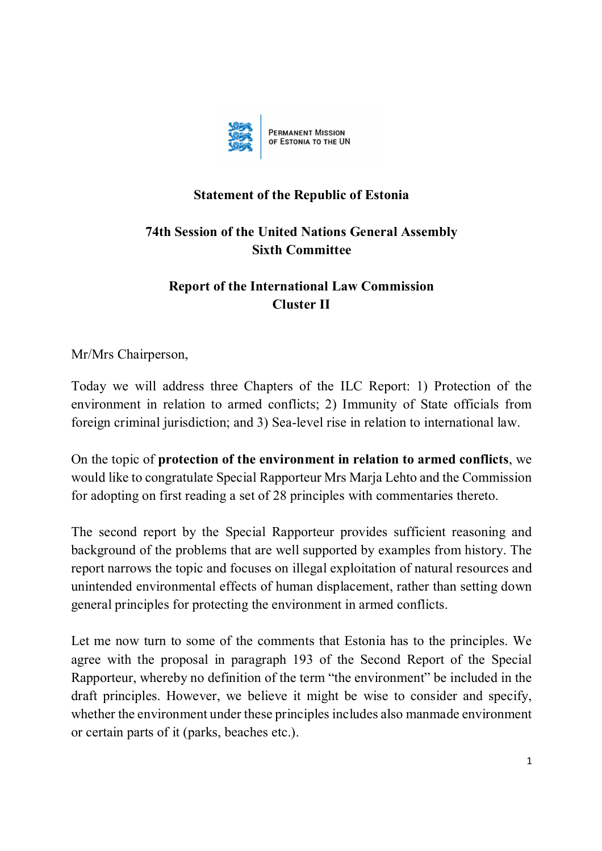

## **Statement of the Republic of Estonia**

## **74th Session of the United Nations General Assembly Sixth Committee**

## **Report of the International Law Commission Cluster II**

Mr/Mrs Chairperson,

Today we will address three Chapters of the ILC Report: 1) Protection of the environment in relation to armed conflicts; 2) Immunity of State officials from foreign criminal jurisdiction; and 3) Sea-level rise in relation to international law.

On the topic of **protection of the environment in relation to armed conflicts**, we would like to congratulate Special Rapporteur Mrs Marja Lehto and the Commission for adopting on first reading a set of 28 principles with commentaries thereto.

The second report by the Special Rapporteur provides sufficient reasoning and background of the problems that are well supported by examples from history. The report narrows the topic and focuses on illegal exploitation of natural resources and unintended environmental effects of human displacement, rather than setting down general principles for protecting the environment in armed conflicts.

Let me now turn to some of the comments that Estonia has to the principles. We agree with the proposal in paragraph 193 of the Second Report of the Special Rapporteur, whereby no definition of the term "the environment" be included in the draft principles. However, we believe it might be wise to consider and specify, whether the environment under these principles includes also manmade environment or certain parts of it (parks, beaches etc.).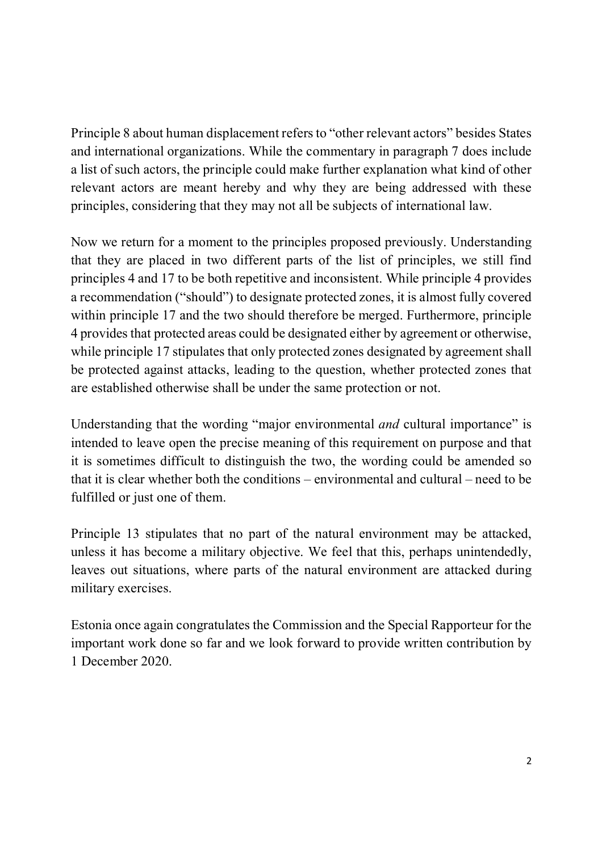Principle 8 about human displacement refers to "other relevant actors" besides States and international organizations. While the commentary in paragraph 7 does include a list of such actors, the principle could make further explanation what kind of other relevant actors are meant hereby and why they are being addressed with these principles, considering that they may not all be subjects of international law.

Now we return for a moment to the principles proposed previously. Understanding that they are placed in two different parts of the list of principles, we still find principles 4 and 17 to be both repetitive and inconsistent. While principle 4 provides a recommendation ("should") to designate protected zones, it is almost fully covered within principle 17 and the two should therefore be merged. Furthermore, principle 4 provides that protected areas could be designated either by agreement or otherwise, while principle 17 stipulates that only protected zones designated by agreement shall be protected against attacks, leading to the question, whether protected zones that are established otherwise shall be under the same protection or not.

Understanding that the wording "major environmental *and* cultural importance" is intended to leave open the precise meaning of this requirement on purpose and that it is sometimes difficult to distinguish the two, the wording could be amended so that it is clear whether both the conditions – environmental and cultural – need to be fulfilled or just one of them.

Principle 13 stipulates that no part of the natural environment may be attacked, unless it has become a military objective. We feel that this, perhaps unintendedly, leaves out situations, where parts of the natural environment are attacked during military exercises.

Estonia once again congratulates the Commission and the Special Rapporteur for the important work done so far and we look forward to provide written contribution by 1 December 2020.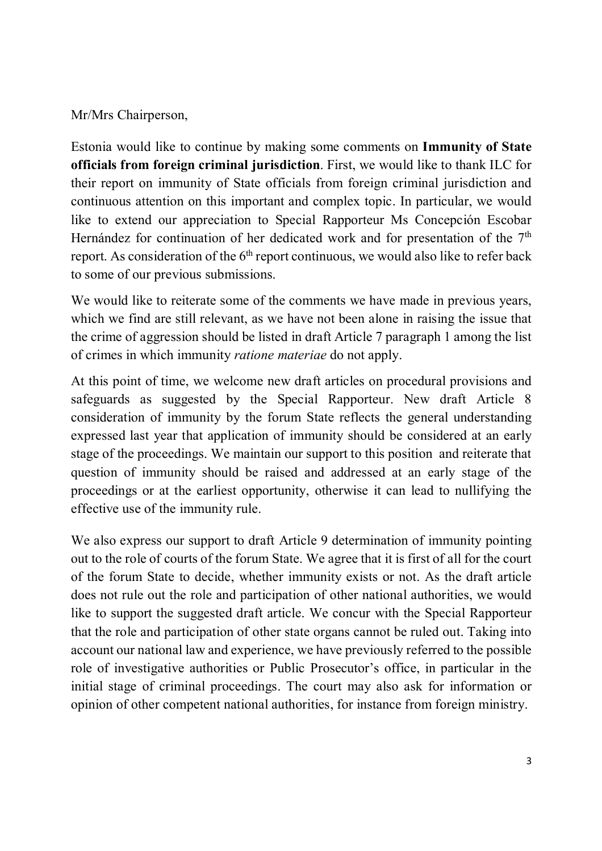## Mr/Mrs Chairperson,

Estonia would like to continue by making some comments on **Immunity of State officials from foreign criminal jurisdiction**. First, we would like to thank ILC for their report on immunity of State officials from foreign criminal jurisdiction and continuous attention on this important and complex topic. In particular, we would like to extend our appreciation to Special Rapporteur Ms Concepción Escobar Hernández for continuation of her dedicated work and for presentation of the 7<sup>th</sup> report. As consideration of the  $6<sup>th</sup>$  report continuous, we would also like to refer back to some of our previous submissions.

We would like to reiterate some of the comments we have made in previous years, which we find are still relevant, as we have not been alone in raising the issue that the crime of aggression should be listed in draft Article 7 paragraph 1 among the list of crimes in which immunity *ratione materiae* do not apply.

At this point of time, we welcome new draft articles on procedural provisions and safeguards as suggested by the Special Rapporteur. New draft Article 8 consideration of immunity by the forum State reflects the general understanding expressed last year that application of immunity should be considered at an early stage of the proceedings. We maintain our support to this position and reiterate that question of immunity should be raised and addressed at an early stage of the proceedings or at the earliest opportunity, otherwise it can lead to nullifying the effective use of the immunity rule.

We also express our support to draft Article 9 determination of immunity pointing out to the role of courts of the forum State. We agree that it is first of all for the court of the forum State to decide, whether immunity exists or not. As the draft article does not rule out the role and participation of other national authorities, we would like to support the suggested draft article. We concur with the Special Rapporteur that the role and participation of other state organs cannot be ruled out. Taking into account our national law and experience, we have previously referred to the possible role of investigative authorities or Public Prosecutor's office, in particular in the initial stage of criminal proceedings. The court may also ask for information or opinion of other competent national authorities, for instance from foreign ministry.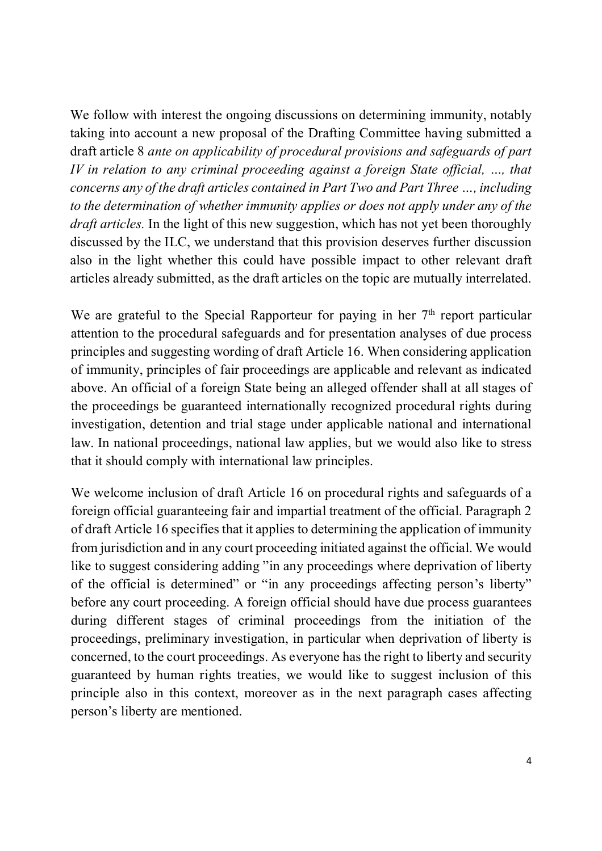We follow with interest the ongoing discussions on determining immunity, notably taking into account a new proposal of the Drafting Committee having submitted a draft article 8 *ante on applicability of procedural provisions and safeguards of part IV in relation to any criminal proceeding against a foreign State official, ..., that concerns any of the draft articles contained in Part Two and Part Three …, including to the determination of whether immunity applies or does not apply under any of the draft articles.* In the light of this new suggestion, which has not yet been thoroughly discussed by the ILC, we understand that this provision deserves further discussion also in the light whether this could have possible impact to other relevant draft articles already submitted, as the draft articles on the topic are mutually interrelated.

We are grateful to the Special Rapporteur for paying in her  $7<sup>th</sup>$  report particular attention to the procedural safeguards and for presentation analyses of due process principles and suggesting wording of draft Article 16. When considering application of immunity, principles of fair proceedings are applicable and relevant as indicated above. An official of a foreign State being an alleged offender shall at all stages of the proceedings be guaranteed internationally recognized procedural rights during investigation, detention and trial stage under applicable national and international law. In national proceedings, national law applies, but we would also like to stress that it should comply with international law principles.

We welcome inclusion of draft Article 16 on procedural rights and safeguards of a foreign official guaranteeing fair and impartial treatment of the official. Paragraph 2 of draft Article 16 specifies that it applies to determining the application of immunity from jurisdiction and in any court proceeding initiated against the official. We would like to suggest considering adding "in any proceedings where deprivation of liberty of the official is determined" or "in any proceedings affecting person's liberty" before any court proceeding. A foreign official should have due process guarantees during different stages of criminal proceedings from the initiation of the proceedings, preliminary investigation, in particular when deprivation of liberty is concerned, to the court proceedings. As everyone has the right to liberty and security guaranteed by human rights treaties, we would like to suggest inclusion of this principle also in this context, moreover as in the next paragraph cases affecting person's liberty are mentioned.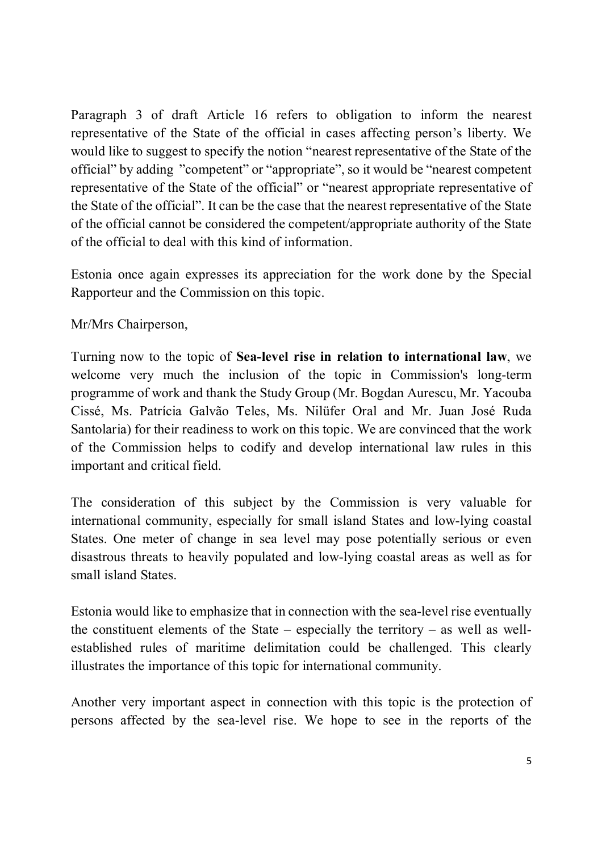Paragraph 3 of draft Article 16 refers to obligation to inform the nearest representative of the State of the official in cases affecting person's liberty. We would like to suggest to specify the notion "nearest representative of the State of the official" by adding "competent" or "appropriate", so it would be "nearest competent representative of the State of the official" or "nearest appropriate representative of the State of the official". It can be the case that the nearest representative of the State of the official cannot be considered the competent/appropriate authority of the State of the official to deal with this kind of information.

Estonia once again expresses its appreciation for the work done by the Special Rapporteur and the Commission on this topic.

Mr/Mrs Chairperson,

Turning now to the topic of **Sea-level rise in relation to international law**, we welcome very much the inclusion of the topic in Commission's long-term programme of work and thank the Study Group (Mr. Bogdan Aurescu, Mr. Yacouba Cissé, Ms. Patrícia Galvão Teles, Ms. Nilüfer Oral and Mr. Juan José Ruda Santolaria) for their readiness to work on this topic. We are convinced that the work of the Commission helps to codify and develop international law rules in this important and critical field.

The consideration of this subject by the Commission is very valuable for international community, especially for small island States and low-lying coastal States. One meter of change in sea level may pose potentially serious or even disastrous threats to heavily populated and low-lying coastal areas as well as for small island States.

Estonia would like to emphasize that in connection with the sea-level rise eventually the constituent elements of the State – especially the territory – as well as wellestablished rules of maritime delimitation could be challenged. This clearly illustrates the importance of this topic for international community.

Another very important aspect in connection with this topic is the protection of persons affected by the sea-level rise. We hope to see in the reports of the